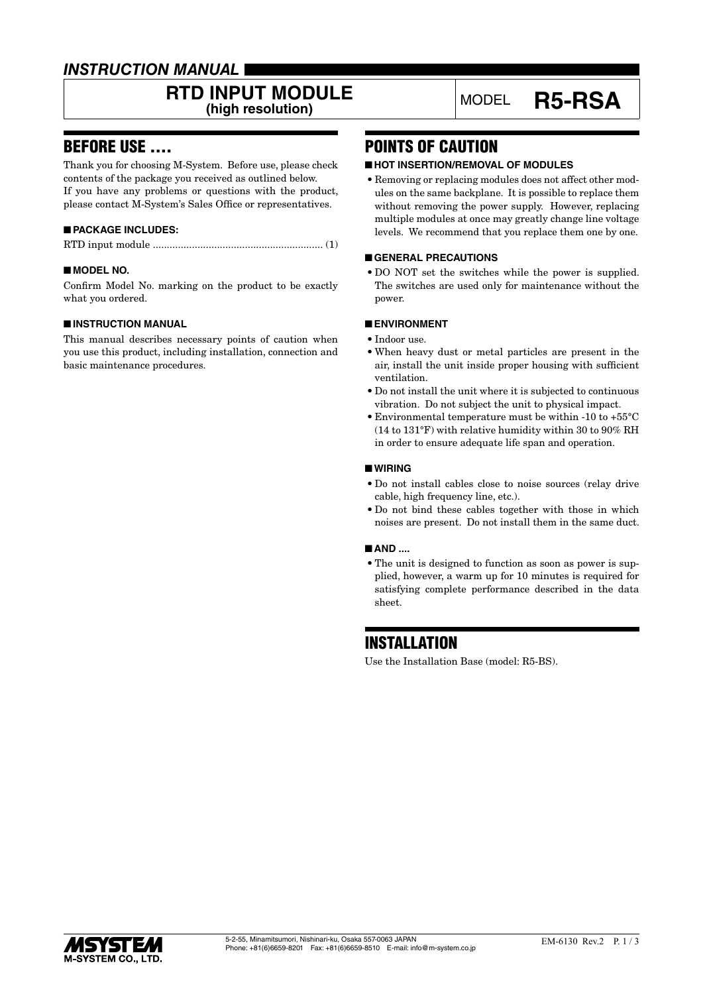## *INSTRUCTION MANUAL*

# **RTD INPUT MODULE**<br>(high resolution)

## BEFORE USE ....

Thank you for choosing M-System. Before use, please check contents of the package you received as outlined below. If you have any problems or questions with the product, please contact M-System's Sales Office or representatives.

### ■ **PACKAGE INCLUDES:**

|--|--|

### ■ **MODEL NO.**

Confirm Model No. marking on the product to be exactly what you ordered.

### ■ **INSTRUCTION MANUAL**

This manual describes necessary points of caution when you use this product, including installation, connection and basic maintenance procedures.

## POINTS OF CAUTION

### ■ **HOT INSERTION/REMOVAL OF MODULES**

• Removing or replacing modules does not affect other modules on the same backplane. It is possible to replace them without removing the power supply. However, replacing multiple modules at once may greatly change line voltage levels. We recommend that you replace them one by one.

**(high resolution)** MODEL **R5-RSA**

### ■ **GENERAL PRECAUTIONS**

• DO NOT set the switches while the power is supplied. The switches are used only for maintenance without the power.

### ■ **ENVIRONMENT**

- Indoor use.
- When heavy dust or metal particles are present in the air, install the unit inside proper housing with sufficient ventilation.
- Do not install the unit where it is subjected to continuous vibration. Do not subject the unit to physical impact.
- Environmental temperature must be within -10 to +55°C (14 to 131°F) with relative humidity within 30 to 90% RH in order to ensure adequate life span and operation.

### ■ **WIRING**

- Do not install cables close to noise sources (relay drive cable, high frequency line, etc.).
- Do not bind these cables together with those in which noises are present. Do not install them in the same duct.

### ■ **AND** ....

• The unit is designed to function as soon as power is supplied, however, a warm up for 10 minutes is required for satisfying complete performance described in the data sheet.

## **INSTALLATION**

Use the Installation Base (model: R5-BS).

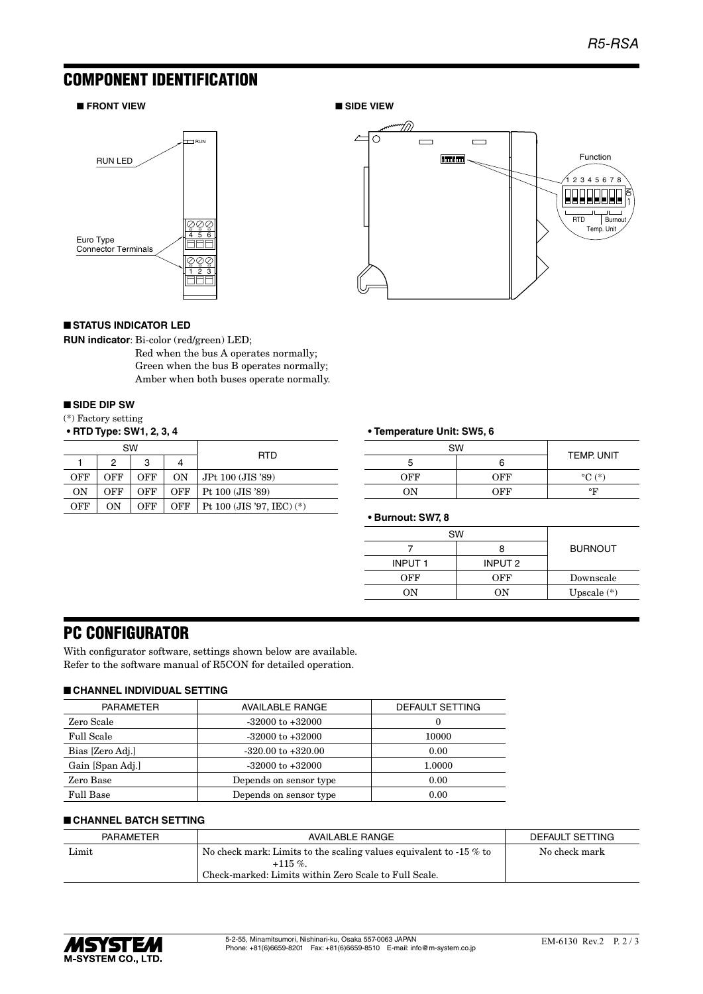## COMPONENT IDENTIFICATION

### ■ **FRONT VIEW** ■ SIDE VIEW





### ■ **STATUS INDICATOR LED**

**RUN indicator**: Bi-color (red/green) LED;

Red when the bus A operates normally; Green when the bus B operates normally; Amber when both buses operate normally.

### ■ **SIDE DIP SW**

(\*) Factory setting

**• RTD Type: SW1, 2, 3, 4**

| SW  |     |     |     |                             |  |
|-----|-----|-----|-----|-----------------------------|--|
|     | 2   | 3   | 4   | <b>RTD</b>                  |  |
| OFF | OFF | OFF | ON  | JPt 100 (JIS '89)           |  |
| ON  | OFF | OFF | OFF | Pt 100 (JIS '89)            |  |
| OFF | OΝ  | OFF | OFF | Pt 100 (JIS '97, IEC) $(*)$ |  |

### **• Temperature Unit: SW5, 6**

| <b>SW</b> |     |                     |
|-----------|-----|---------------------|
| b         |     | TEMP. UNIT          |
| OFF       | OFF | $\rm ^{\circ}C$ (*) |
| OΝ        | OEE | °F                  |

**• Burnout: SW7, 8**

| <b>SW</b>     |         |                |
|---------------|---------|----------------|
|               |         | <b>BURNOUT</b> |
| <b>INPUT1</b> | INPUT 2 |                |
| OFF           | OFF     | Downscale      |
| OΝ<br>OΝ      |         | Upscale $(*)$  |

## PC CONFIGURATOR

With configurator software, settings shown below are available. Refer to the software manual of R5CON for detailed operation.

### ■ **CHANNEL INDIVIDUAL SETTING**

| <b>PARAMETER</b>  | <b>AVAILABLE RANGE</b> | DEFAULT SETTING |
|-------------------|------------------------|-----------------|
| Zero Scale        | $-32000$ to $+32000$   |                 |
| <b>Full Scale</b> | $-32000$ to $+32000$   | 10000           |
| Bias [Zero Adj.]  | $-320.00$ to $+320.00$ | 0.00            |
| Gain [Span Adj.]  | $-32000$ to $+32000$   | 1.0000          |
| Zero Base         | Depends on sensor type | 0.00            |
| Full Base         | Depends on sensor type | 0.00            |

### ■ **CHANNEL BATCH SETTING**

| PARAMETER | DEFAULT SETTING                                                      |               |
|-----------|----------------------------------------------------------------------|---------------|
| Limit     | No check mark: Limits to the scaling values equivalent to $-15\%$ to | No check mark |
|           | $+115\%$                                                             |               |
|           | Check-marked: Limits within Zero Scale to Full Scale.                |               |